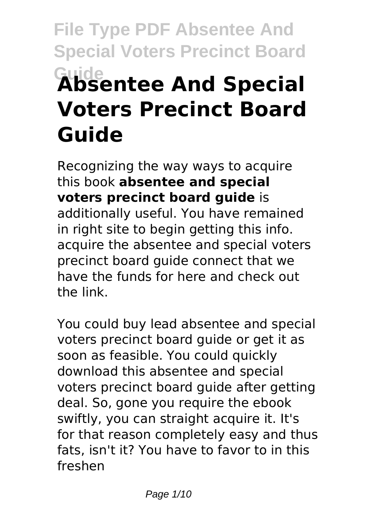# **File Type PDF Absentee And Special Voters Precinct Board Guide Absentee And Special Voters Precinct Board Guide**

Recognizing the way ways to acquire this book **absentee and special voters precinct board guide** is additionally useful. You have remained in right site to begin getting this info. acquire the absentee and special voters precinct board guide connect that we have the funds for here and check out the link.

You could buy lead absentee and special voters precinct board guide or get it as soon as feasible. You could quickly download this absentee and special voters precinct board guide after getting deal. So, gone you require the ebook swiftly, you can straight acquire it. It's for that reason completely easy and thus fats, isn't it? You have to favor to in this freshen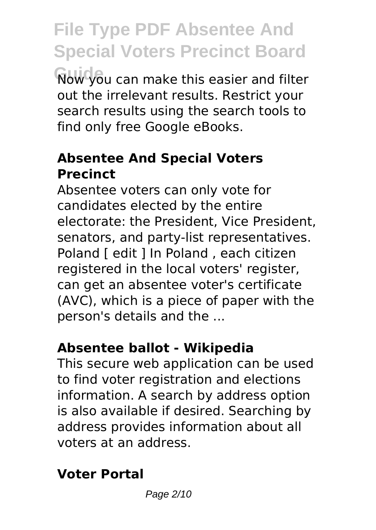**File Type PDF Absentee And Special Voters Precinct Board Guide** Now you can make this easier and filter out the irrelevant results. Restrict your search results using the search tools to find only free Google eBooks.

#### **Absentee And Special Voters Precinct**

Absentee voters can only vote for candidates elected by the entire electorate: the President, Vice President, senators, and party-list representatives. Poland [ edit ] In Poland , each citizen registered in the local voters' register, can get an absentee voter's certificate (AVC), which is a piece of paper with the person's details and the ...

#### **Absentee ballot - Wikipedia**

This secure web application can be used to find voter registration and elections information. A search by address option is also available if desired. Searching by address provides information about all voters at an address.

#### **Voter Portal**

Page 2/10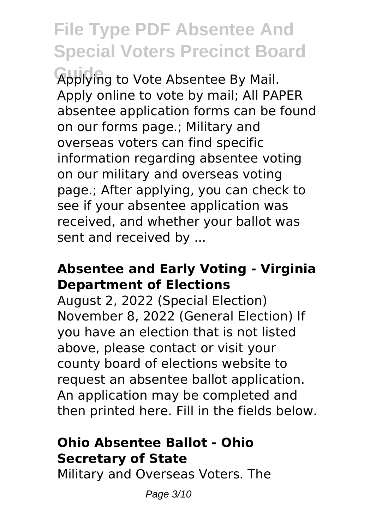### **File Type PDF Absentee And Special Voters Precinct Board**

**Guide** Applying to Vote Absentee By Mail. Apply online to vote by mail; All PAPER absentee application forms can be found on our forms page.; Military and overseas voters can find specific information regarding absentee voting on our military and overseas voting page.; After applying, you can check to see if your absentee application was received, and whether your ballot was sent and received by ...

#### **Absentee and Early Voting - Virginia Department of Elections**

August 2, 2022 (Special Election) November 8, 2022 (General Election) If you have an election that is not listed above, please contact or visit your county board of elections website to request an absentee ballot application. An application may be completed and then printed here. Fill in the fields below.

#### **Ohio Absentee Ballot - Ohio Secretary of State**

Military and Overseas Voters. The

Page 3/10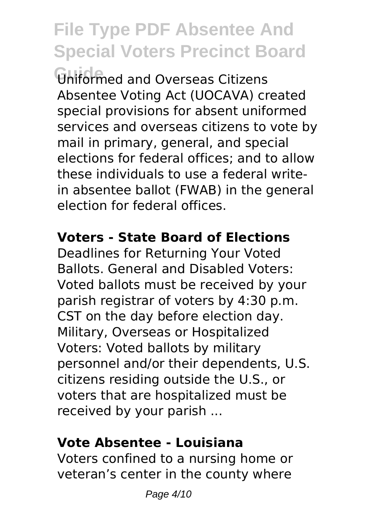# **File Type PDF Absentee And Special Voters Precinct Board**

**Guide** Uniformed and Overseas Citizens Absentee Voting Act (UOCAVA) created special provisions for absent uniformed services and overseas citizens to vote by mail in primary, general, and special elections for federal offices; and to allow these individuals to use a federal writein absentee ballot (FWAB) in the general election for federal offices.

#### **Voters - State Board of Elections**

Deadlines for Returning Your Voted Ballots. General and Disabled Voters: Voted ballots must be received by your parish registrar of voters by 4:30 p.m. CST on the day before election day. Military, Overseas or Hospitalized Voters: Voted ballots by military personnel and/or their dependents, U.S. citizens residing outside the U.S., or voters that are hospitalized must be received by your parish ...

#### **Vote Absentee - Louisiana**

Voters confined to a nursing home or veteran's center in the county where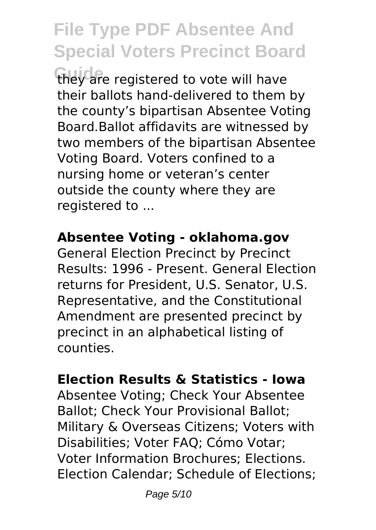## **File Type PDF Absentee And Special Voters Precinct Board**

they are registered to vote will have their ballots hand-delivered to them by the county's bipartisan Absentee Voting Board.Ballot affidavits are witnessed by two members of the bipartisan Absentee Voting Board. Voters confined to a nursing home or veteran's center outside the county where they are registered to ...

#### **Absentee Voting - oklahoma.gov**

General Election Precinct by Precinct Results: 1996 - Present. General Election returns for President, U.S. Senator, U.S. Representative, and the Constitutional Amendment are presented precinct by precinct in an alphabetical listing of counties.

#### **Election Results & Statistics - Iowa**

Absentee Voting; Check Your Absentee Ballot; Check Your Provisional Ballot; Military & Overseas Citizens; Voters with Disabilities; Voter FAQ; Cómo Votar; Voter Information Brochures; Elections. Election Calendar; Schedule of Elections;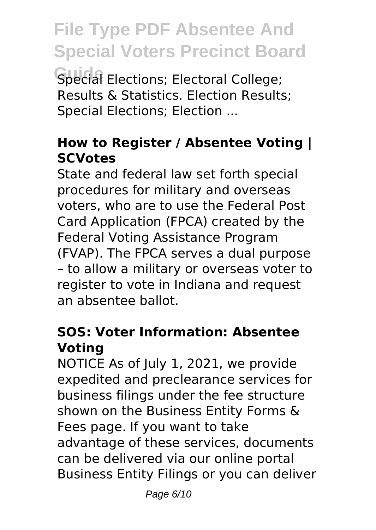**File Type PDF Absentee And Special Voters Precinct Board** Special Elections; Electoral College;

Results & Statistics. Election Results; Special Elections; Election ...

#### **How to Register / Absentee Voting | SCVotes**

State and federal law set forth special procedures for military and overseas voters, who are to use the Federal Post Card Application (FPCA) created by the Federal Voting Assistance Program (FVAP). The FPCA serves a dual purpose – to allow a military or overseas voter to register to vote in Indiana and request an absentee ballot.

#### **SOS: Voter Information: Absentee Voting**

NOTICE As of July 1, 2021, we provide expedited and preclearance services for business filings under the fee structure shown on the Business Entity Forms & Fees page. If you want to take advantage of these services, documents can be delivered via our online portal Business Entity Filings or you can deliver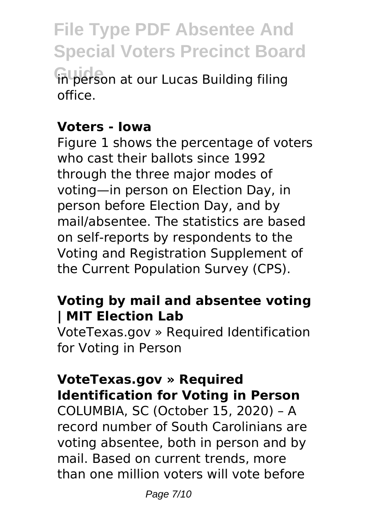### **File Type PDF Absentee And Special Voters Precinct Board Guide** in person at our Lucas Building filing

office.

#### **Voters - Iowa**

Figure 1 shows the percentage of voters who cast their hallots since 1992 through the three major modes of voting—in person on Election Day, in person before Election Day, and by mail/absentee. The statistics are based on self-reports by respondents to the Voting and Registration Supplement of the Current Population Survey (CPS).

#### **Voting by mail and absentee voting | MIT Election Lab**

VoteTexas.gov » Required Identification for Voting in Person

#### **VoteTexas.gov » Required Identification for Voting in Person**

COLUMBIA, SC (October 15, 2020) – A record number of South Carolinians are voting absentee, both in person and by mail. Based on current trends, more than one million voters will vote before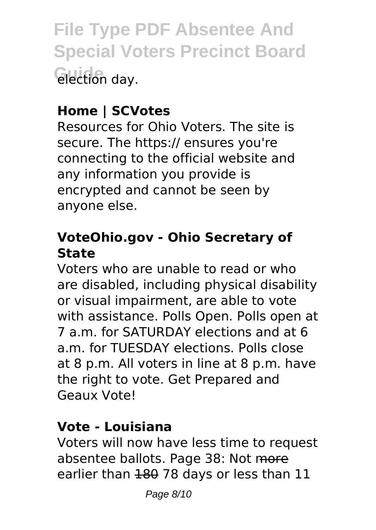**File Type PDF Absentee And Special Voters Precinct Board Guide** election day.

#### **Home | SCVotes**

Resources for Ohio Voters. The site is secure. The https:// ensures you're connecting to the official website and any information you provide is encrypted and cannot be seen by anyone else.

#### **VoteOhio.gov - Ohio Secretary of State**

Voters who are unable to read or who are disabled, including physical disability or visual impairment, are able to vote with assistance. Polls Open. Polls open at 7 a.m. for SATURDAY elections and at 6 a.m. for TUESDAY elections. Polls close at 8 p.m. All voters in line at 8 p.m. have the right to vote. Get Prepared and Geaux Vote!

#### **Vote - Louisiana**

Voters will now have less time to request absentee ballots. Page 38: Not more earlier than 180 78 days or less than 11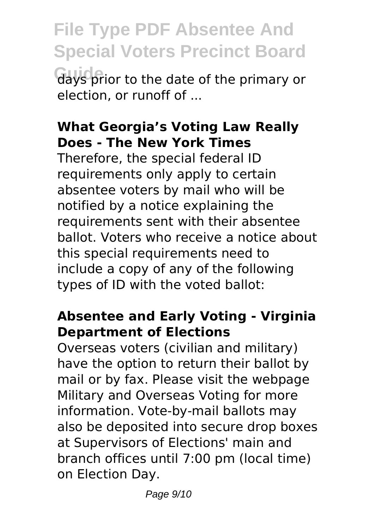**File Type PDF Absentee And Special Voters Precinct Board Guide** days prior to the date of the primary or election, or runoff of ...

#### **What Georgia's Voting Law Really Does - The New York Times**

Therefore, the special federal ID requirements only apply to certain absentee voters by mail who will be notified by a notice explaining the requirements sent with their absentee ballot. Voters who receive a notice about this special requirements need to include a copy of any of the following types of ID with the voted ballot:

#### **Absentee and Early Voting - Virginia Department of Elections**

Overseas voters (civilian and military) have the option to return their ballot by mail or by fax. Please visit the webpage Military and Overseas Voting for more information. Vote-by-mail ballots may also be deposited into secure drop boxes at Supervisors of Elections' main and branch offices until 7:00 pm (local time) on Election Day.